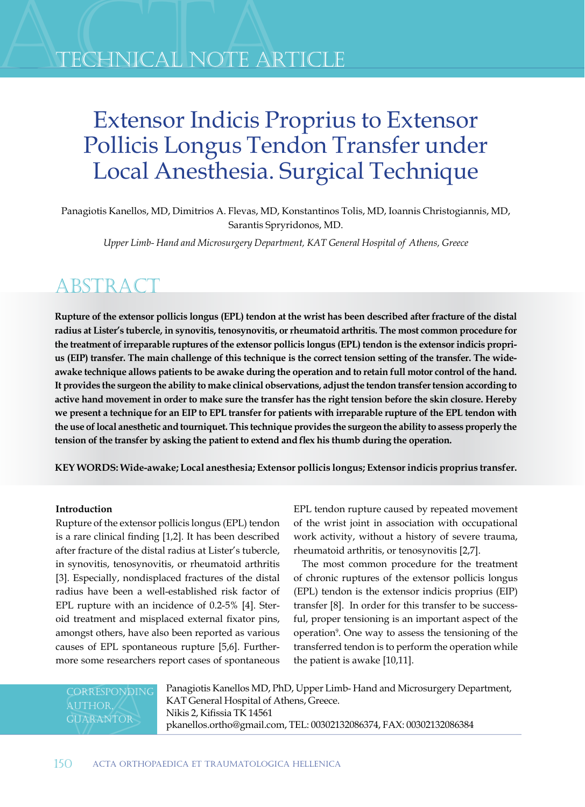## TECHNICAL NOTE ARTICLE

# Extensor Indicis Proprius to Extensor Pollicis Longus Tendon Transfer under Local Anesthesia. Surgical Technique

Panagiotis Kanellos, MD, Dimitrios A. Flevas, MD, Konstantinos Tolis, MD, Ioannis Christogiannis, MD, Sarantis Spryridonos, MD.

*Upper Limb- Hand and Microsurgery Department, KAT General Hospital of Athens, Greece*

### **ABSTRACT**

**Rupture of the extensor pollicis longus (EPL) tendon at the wrist has been described after fracture of the distal radius at Lister's tubercle, in synovitis, tenosynovitis, or rheumatoid arthritis. The most common procedure for the treatment of irreparable ruptures of the extensor pollicis longus (EPL) tendon is the extensor indicis proprius (EIP) transfer. The main challenge of this technique is the correct tension setting of the transfer. The wideawake technique allows patients to be awake during the operation and to retain full motor control of the hand. It provides the surgeon the ability to make clinical observations, adjust the tendon transfer tension according to active hand movement in order to make sure the transfer has the right tension before the skin closure. Hereby we present a technique for an EIP to EPL transfer for patients with irreparable rupture of the EPL tendon with the use of local anesthetic and tourniquet. This technique provides the surgeon the ability to assess properly the tension of the transfer by asking the patient to extend and flex his thumb during the operation.**

**KEY WORDS: Wide-awake; Local anesthesia; Extensor pollicis longus; Extensor indicis proprius transfer.**

#### **Introduction**

Rupture of the extensor pollicis longus (EPL) tendon is a rare clinical finding [1,2]. It has been described after fracture of the distal radius at Lister's tubercle, in synovitis, tenosynovitis, or rheumatoid arthritis [3]. Especially, nondisplaced fractures of the distal radius have been a well-established risk factor of EPL rupture with an incidence of 0.2-5% [4]. Steroid treatment and misplaced external fixator pins, amongst others, have also been reported as various causes of EPL spontaneous rupture [5,6]. Furthermore some researchers report cases of spontaneous

EPL tendon rupture caused by repeated movement of the wrist joint in association with occupational work activity, without a history of severe trauma, rheumatoid arthritis, or tenosynovitis [2,7].

The most common procedure for the treatment of chronic ruptures of the extensor pollicis longus (EPL) tendon is the extensor indicis proprius (EIP) transfer [8]. In order for this transfer to be successful, proper tensioning is an important aspect of the operation9 . One way to assess the tensioning of the transferred tendon is to perform the operation while the patient is awake [10,11].

**CORRESPONDING GUARANTOR** 

Panagiotis Kanellos MD, PhD, Upper Limb- Hand and Microsurgery Department, KAT General Hospital of Athens, Greece. Nikis 2, Kifissia TK 14561 pkanellos.ortho@gmail.com, TEL: 00302132086374, FAX: 00302132086384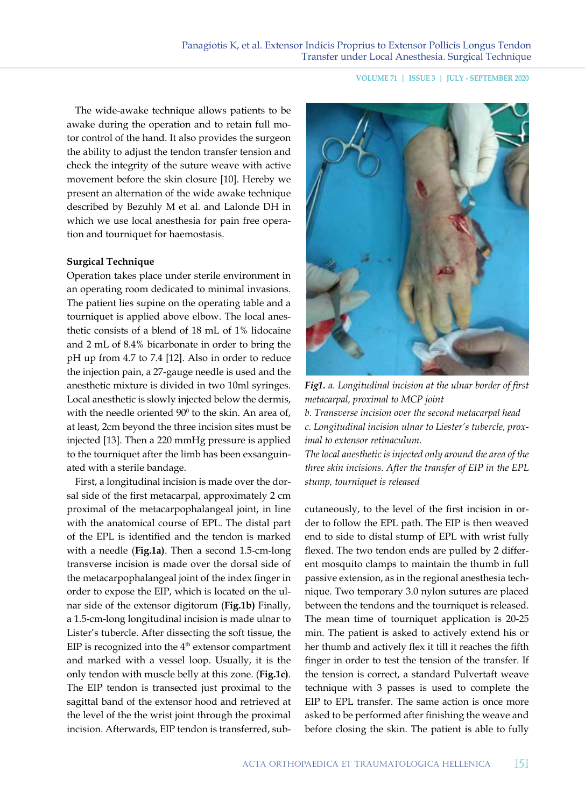**VOLUME 71 | ISSUE 3 | JULY - SEPTEMBER 2020**

The wide-awake technique allows patients to be awake during the operation and to retain full motor control of the hand. It also provides the surgeon the ability to adjust the tendon transfer tension and check the integrity of the suture weave with active movement before the skin closure [10]. Hereby we present an alternation of the wide awake technique described by Bezuhly M et al. and Lalonde DH in which we use local anesthesia for pain free operation and tourniquet for haemostasis.

#### **Surgical Technique**

Operation takes place under sterile environment in an operating room dedicated to minimal invasions. The patient lies supine on the operating table and a tourniquet is applied above elbow. The local anesthetic consists of a blend of 18 mL of 1% lidocaine and 2 mL of 8.4% bicarbonate in order to bring the pH up from 4.7 to 7.4 [12]. Also in order to reduce the injection pain, a 27-gauge needle is used and the anesthetic mixture is divided in two 10ml syringes. Local anesthetic is slowly injected below the dermis, with the needle oriented  $90^{\circ}$  to the skin. An area of, at least, 2cm beyond the three incision sites must be injected [13]. Then a 220 mmHg pressure is applied to the tourniquet after the limb has been exsanguinated with a sterile bandage.

First, a longitudinal incision is made over the dorsal side of the first metacarpal, approximately 2 cm proximal of the metacarpophalangeal joint, in line with the anatomical course of EPL. The distal part of the EPL is identified and the tendon is marked with a needle (**Fig.1a)**. Then a second 1.5-cm-long transverse incision is made over the dorsal side of the metacarpophalangeal joint of the index finger in order to expose the EIP, which is located on the ulnar side of the extensor digitorum (**Fig.1b)** Finally, a 1.5-cm-long longitudinal incision is made ulnar to Lister's tubercle. After dissecting the soft tissue, the EIP is recognized into the  $4<sup>th</sup>$  extensor compartment and marked with a vessel loop. Usually, it is the only tendon with muscle belly at this zone. (**Fig.1c)**. The EIP tendon is transected just proximal to the sagittal band of the extensor hood and retrieved at the level of the the wrist joint through the proximal incision. Afterwards, EIP tendon is transferred, sub-



*Fig1. a. Longitudinal incision at the ulnar border of first metacarpal, proximal to MCP joint b. Transverse incision over the second metacarpal head c. Longitudinal incision ulnar to Liester's tubercle, prox-*

*imal to extensor retinaculum.*

*The local anesthetic is injected only around the area of the three skin incisions. After the transfer of EIP in the EPL stump, tourniquet is released*

cutaneously, to the level of the first incision in order to follow the EPL path. The EIP is then weaved end to side to distal stump of EPL with wrist fully flexed. The two tendon ends are pulled by 2 different mosquito clamps to maintain the thumb in full passive extension, as in the regional anesthesia technique. Two temporary 3.0 nylon sutures are placed between the tendons and the tourniquet is released. The mean time of tourniquet application is 20-25 min. The patient is asked to actively extend his or her thumb and actively flex it till it reaches the fifth finger in order to test the tension of the transfer. If the tension is correct, a standard Pulvertaft weave technique with 3 passes is used to complete the EIP to EPL transfer. The same action is once more asked to be performed after finishing the weave and before closing the skin. The patient is able to fully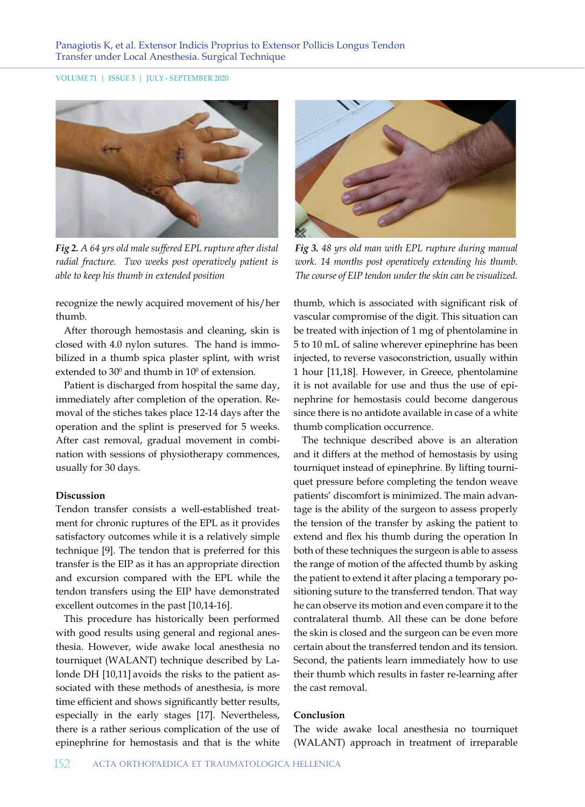#### **VOLUME 71 | ISSUE 3 | JULY - SEPTEMBER 2020**



*Fig 2. A 64 yrs old male suffered EPL rupture after distal radial fracture. Two weeks post operatively patient is able to keep his thumb in extended position* 

recognize the newly acquired movement of his/her thumb.

After thorough hemostasis and cleaning, skin is closed with 4.0 nylon sutures. The hand is immobilized in a thumb spica plaster splint, with wrist extended to 30 $^{\rm o}$  and thumb in  $10^{\rm o}$  of extension.

Patient is discharged from hospital the same day, immediately after completion of the operation. Removal of the stiches takes place 12-14 days after the operation and the splint is preserved for 5 weeks. After cast removal, gradual movement in combination with sessions of physiotherapy commences, usually for 30 days.

#### **Discussion**

Tendon transfer consists a well-established treatment for chronic ruptures of the EPL as it provides satisfactory outcomes while it is a relatively simple technique [9]. The tendon that is preferred for this transfer is the EIP as it has an appropriate direction and excursion compared with the EPL while the tendon transfers using the EIP have demonstrated excellent outcomes in the past [10,14-16].

This procedure has historically been performed with good results using general and regional anesthesia. However, wide awake local anesthesia no tourniquet (WALANT) technique described by Lalonde DH [10,11] avoids the risks to the patient associated with these methods of anesthesia, is more time efficient and shows significantly better results, especially in the early stages [17]. Nevertheless, there is a rather serious complication of the use of epinephrine for hemostasis and that is the white



*Fig 3. 48 yrs old man with EPL rupture during manual work. 14 months post operatively extending his thumb. The course of EIP tendon under the skin can be visualized.*

thumb, which is associated with significant risk of vascular compromise of the digit. This situation can be treated with injection of 1 mg of phentolamine in 5 to 10 mL of saline wherever epinephrine has been injected, to reverse vasoconstriction, usually within 1 hour [11,18]. However, in Greece, phentolamine it is not available for use and thus the use of epinephrine for hemostasis could become dangerous since there is no antidote available in case of a white thumb complication occurrence.

The technique described above is an alteration and it differs at the method of hemostasis by using tourniquet instead of epinephrine. By lifting tourniquet pressure before completing the tendon weave patients' discomfort is minimized. The main advantage is the ability of the surgeon to assess properly the tension of the transfer by asking the patient to extend and flex his thumb during the operation In both of these techniques the surgeon is able to assess the range of motion of the affected thumb by asking the patient to extend it after placing a temporary positioning suture to the transferred tendon. That way he can observe its motion and even compare it to the contralateral thumb. All these can be done before the skin is closed and the surgeon can be even more certain about the transferred tendon and its tension. Second, the patients learn immediately how to use their thumb which results in faster re-learning after the cast removal.

#### **Conclusion**

The wide awake local anesthesia no tourniquet (WALANT) approach in treatment of irreparable